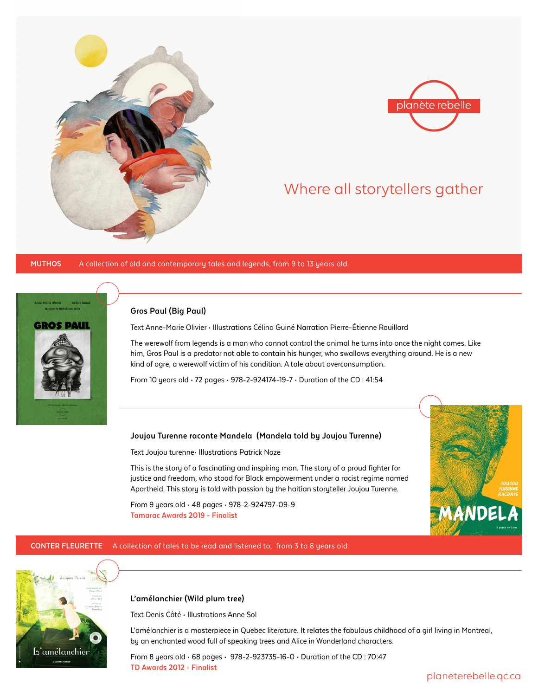



# Where all storytellers gather

**Muthos** A collection of old and contemporary tales and legends, from 9 to 13 years old.



### **Gros Paul (Big Paul)**

Text Anne-Marie Olivier • Illustrations Célina Guiné Narration Pierre-Étienne Rouillard

The werewolf from legends is a man who cannot control the animal he turns into once the night comes. Like him, Gros Paul is a predator not able to contain his hunger, who swallows everything around. He is a new kind of ogre, a werewolf victim of his condition. A tale about overconsumption.

From 10 years old • 72 pages • 978-2-924174-19-7 • Duration of the CD : 41:54

#### **Joujou Turenne raconte Mandela (Mandela told by Joujou Turenne)**

Text Joujou turenne• Illustrations Patrick Noze

This is the story of a fascinating and inspiring man. The story of a proud fighter for justice and freedom, who stood for Black empowerment under a racist regime named Apartheid. This story is told with passion by the haitian storyteller Joujou Turenne.

From 9 years old • 48 pages • 978-2-924797-09-9 **Tamarac Awards 2019 - Finalist**



#### **CONTER FLEURETTE** A collection of tales to be read and listened to, from 3 to 8 years old.



# **L'amélanchier (Wild plum tree)**

Text Denis Côté • Illustrations Anne Sol

L'amélanchier is a masterpiece in Quebec literature. It relates the fabulous childhood of a girl living in Montreal, by an enchanted wood full of speaking trees and Alice in Wonderland characters.

From 8 years old • 68 pages • 978-2-923735-16-0 • Duration of the CD : 70:47 **TD Awards 2012 - Finalist**

planeterebelle.qc.ca